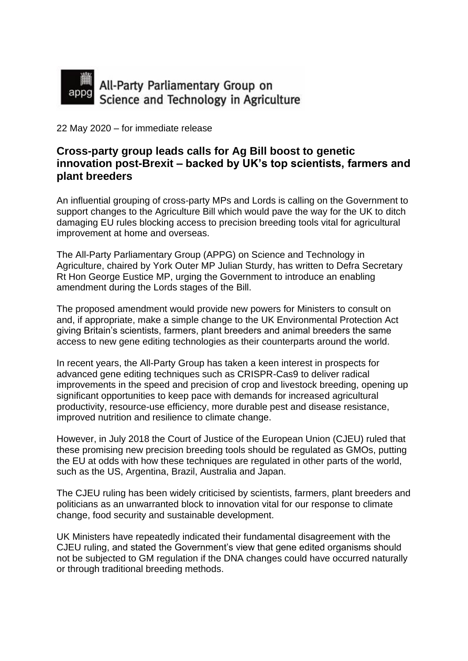

22 May 2020 – for immediate release

## **Cross-party group leads calls for Ag Bill boost to genetic innovation post-Brexit – backed by UK's top scientists, farmers and plant breeders**

An influential grouping of cross-party MPs and Lords is calling on the Government to support changes to the Agriculture Bill which would pave the way for the UK to ditch damaging EU rules blocking access to precision breeding tools vital for agricultural improvement at home and overseas.

The All-Party Parliamentary Group (APPG) on Science and Technology in Agriculture, chaired by York Outer MP Julian Sturdy, has written to Defra Secretary Rt Hon George Eustice MP, urging the Government to introduce an enabling amendment during the Lords stages of the Bill.

The proposed amendment would provide new powers for Ministers to consult on and, if appropriate, make a simple change to the UK Environmental Protection Act giving Britain's scientists, farmers, plant breeders and animal breeders the same access to new gene editing technologies as their counterparts around the world.

In recent years, the All-Party Group has taken a keen interest in prospects for advanced gene editing techniques such as CRISPR-Cas9 to deliver radical improvements in the speed and precision of crop and livestock breeding, opening up significant opportunities to keep pace with demands for increased agricultural productivity, resource-use efficiency, more durable pest and disease resistance, improved nutrition and resilience to climate change.

However, in July 2018 the Court of Justice of the European Union (CJEU) ruled that these promising new precision breeding tools should be regulated as GMOs, putting the EU at odds with how these techniques are regulated in other parts of the world, such as the US, Argentina, Brazil, Australia and Japan.

The CJEU ruling has been widely criticised by scientists, farmers, plant breeders and politicians as an unwarranted block to innovation vital for our response to climate change, food security and sustainable development.

UK Ministers have repeatedly indicated their fundamental disagreement with the CJEU ruling, and stated the Government's view that gene edited organisms should not be subjected to GM regulation if the DNA changes could have occurred naturally or through traditional breeding methods.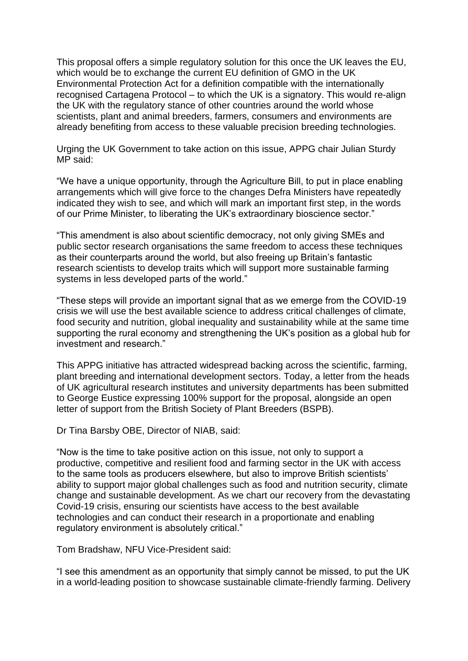This proposal offers a simple regulatory solution for this once the UK leaves the EU, which would be to exchange the current EU definition of GMO in the UK Environmental Protection Act for a definition compatible with the internationally recognised Cartagena Protocol – to which the UK is a signatory. This would re-align the UK with the regulatory stance of other countries around the world whose scientists, plant and animal breeders, farmers, consumers and environments are already benefiting from access to these valuable precision breeding technologies.

Urging the UK Government to take action on this issue, APPG chair Julian Sturdy MP said:

"We have a unique opportunity, through the Agriculture Bill, to put in place enabling arrangements which will give force to the changes Defra Ministers have repeatedly indicated they wish to see, and which will mark an important first step, in the words of our Prime Minister, to liberating the UK's extraordinary bioscience sector."

"This amendment is also about scientific democracy, not only giving SMEs and public sector research organisations the same freedom to access these techniques as their counterparts around the world, but also freeing up Britain's fantastic research scientists to develop traits which will support more sustainable farming systems in less developed parts of the world."

"These steps will provide an important signal that as we emerge from the COVID-19 crisis we will use the best available science to address critical challenges of climate, food security and nutrition, global inequality and sustainability while at the same time supporting the rural economy and strengthening the UK's position as a global hub for investment and research."

This APPG initiative has attracted widespread backing across the scientific, farming, plant breeding and international development sectors. Today, a letter from the heads of UK agricultural research institutes and university departments has been submitted to George Eustice expressing 100% support for the proposal, alongside an open letter of support from the British Society of Plant Breeders (BSPB).

Dr Tina Barsby OBE, Director of NIAB, said:

"Now is the time to take positive action on this issue, not only to support a productive, competitive and resilient food and farming sector in the UK with access to the same tools as producers elsewhere, but also to improve British scientists' ability to support major global challenges such as food and nutrition security, climate change and sustainable development. As we chart our recovery from the devastating Covid-19 crisis, ensuring our scientists have access to the best available technologies and can conduct their research in a proportionate and enabling regulatory environment is absolutely critical."

Tom Bradshaw, NFU Vice-President said:

"I see this amendment as an opportunity that simply cannot be missed, to put the UK in a world-leading position to showcase sustainable climate-friendly farming. Delivery